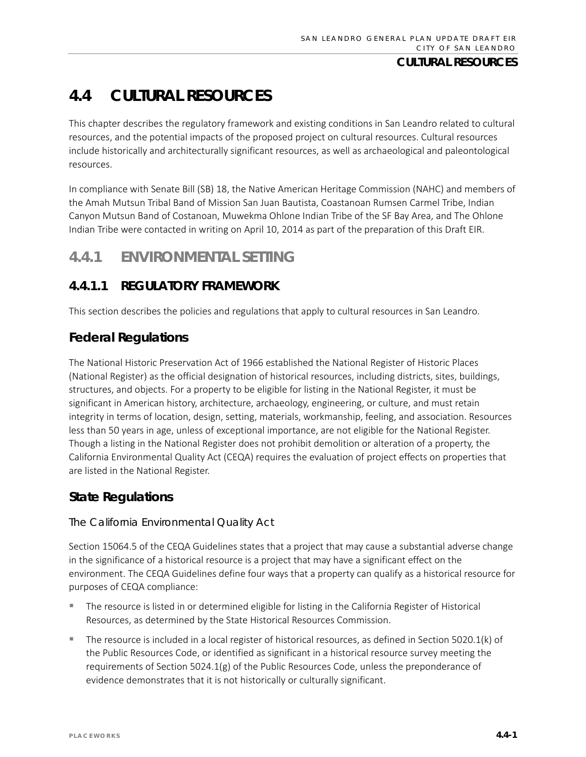# **4.4 CULTURAL RESOURCES**

This chapter describes the regulatory framework and existing conditions in San Leandro related to cultural resources, and the potential impacts of the proposed project on cultural resources. Cultural resources include historically and architecturally significant resources, as well as archaeological and paleontological resources.

In compliance with Senate Bill (SB) 18, the Native American Heritage Commission (NAHC) and members of the Amah Mutsun Tribal Band of Mission San Juan Bautista, Coastanoan Rumsen Carmel Tribe, Indian Canyon Mutsun Band of Costanoan, Muwekma Ohlone Indian Tribe of the SF Bay Area, and The Ohlone Indian Tribe were contacted in writing on April 10, 2014 as part of the preparation of this Draft EIR.

# **4.4.1 ENVIRONMENTAL SETTING**

## **4.4.1.1 REGULATORY FRAMEWORK**

This section describes the policies and regulations that apply to cultural resources in San Leandro.

## **Federal Regulations**

The National Historic Preservation Act of 1966 established the National Register of Historic Places (National Register) as the official designation of historical resources, including districts, sites, buildings, structures, and objects. For a property to be eligible for listing in the National Register, it must be significant in American history, architecture, archaeology, engineering, or culture, and must retain integrity in terms of location, design, setting, materials, workmanship, feeling, and association. Resources less than 50 years in age, unless of exceptional importance, are not eligible for the National Register. Though a listing in the National Register does not prohibit demolition or alteration of a property, the California Environmental Quality Act (CEQA) requires the evaluation of project effects on properties that are listed in the National Register.

## **State Regulations**

#### *The California Environmental Quality Act*

Section 15064.5 of the CEQA Guidelines states that a project that may cause a substantial adverse change in the significance of a historical resource is a project that may have a significant effect on the environment. The CEQA Guidelines define four ways that a property can qualify as a historical resource for purposes of CEQA compliance:

- The resource is listed in or determined eligible for listing in the California Register of Historical Resources, as determined by the State Historical Resources Commission.
- The resource is included in a local register of historical resources, as defined in Section 5020.1(k) of the Public Resources Code, or identified as significant in a historical resource survey meeting the requirements of Section 5024.1(g) of the Public Resources Code, unless the preponderance of evidence demonstrates that it is not historically or culturally significant.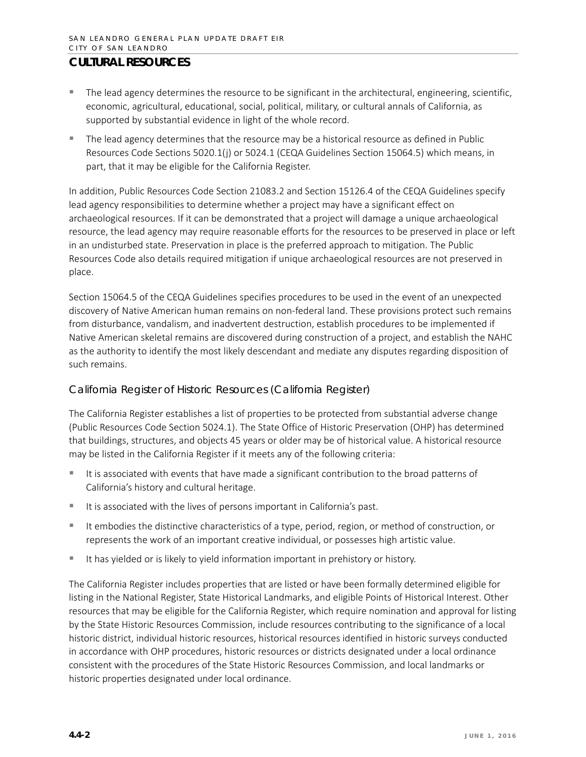- $\blacksquare$  The lead agency determines the resource to be significant in the architectural, engineering, scientific, economic, agricultural, educational, social, political, military, or cultural annals of California, as supported by substantial evidence in light of the whole record.
- The lead agency determines that the resource may be a historical resource as defined in Public Resources Code Sections 5020.1(j) or 5024.1 (CEQA Guidelines Section 15064.5) which means, in part, that it may be eligible for the California Register.

In addition, Public Resources Code Section 21083.2 and Section 15126.4 of the CEQA Guidelines specify lead agency responsibilities to determine whether a project may have a significant effect on archaeological resources. If it can be demonstrated that a project will damage a unique archaeological resource, the lead agency may require reasonable efforts for the resources to be preserved in place or left in an undisturbed state. Preservation in place is the preferred approach to mitigation. The Public Resources Code also details required mitigation if unique archaeological resources are not preserved in place.

Section 15064.5 of the CEQA Guidelines specifies procedures to be used in the event of an unexpected discovery of Native American human remains on non-federal land. These provisions protect such remains from disturbance, vandalism, and inadvertent destruction, establish procedures to be implemented if Native American skeletal remains are discovered during construction of a project, and establish the NAHC as the authority to identify the most likely descendant and mediate any disputes regarding disposition of such remains.

#### *California Register of Historic Resources (California Register)*

The California Register establishes a list of properties to be protected from substantial adverse change (Public Resources Code Section 5024.1). The State Office of Historic Preservation (OHP) has determined that buildings, structures, and objects 45 years or older may be of historical value. A historical resource may be listed in the California Register if it meets any of the following criteria:

- It is associated with events that have made a significant contribution to the broad patterns of California's history and cultural heritage.
- It is associated with the lives of persons important in California's past.
- It embodies the distinctive characteristics of a type, period, region, or method of construction, or represents the work of an important creative individual, or possesses high artistic value.
- It has yielded or is likely to yield information important in prehistory or history.

The California Register includes properties that are listed or have been formally determined eligible for listing in the National Register, State Historical Landmarks, and eligible Points of Historical Interest. Other resources that may be eligible for the California Register, which require nomination and approval for listing by the State Historic Resources Commission, include resources contributing to the significance of a local historic district, individual historic resources, historical resources identified in historic surveys conducted in accordance with OHP procedures, historic resources or districts designated under a local ordinance consistent with the procedures of the State Historic Resources Commission, and local landmarks or historic properties designated under local ordinance.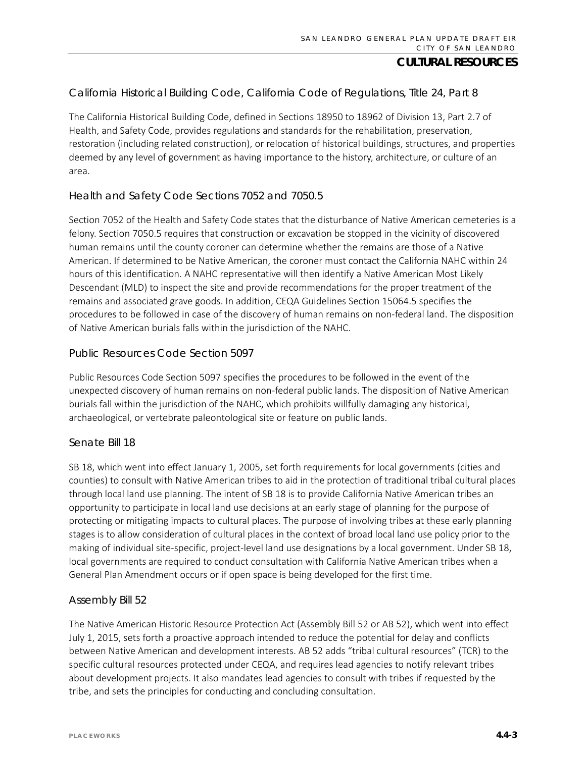#### *California Historical Building Code, California Code of Regulations, Title 24, Part 8*

The California Historical Building Code, defined in Sections 18950 to 18962 of Division 13, Part 2.7 of Health, and Safety Code, provides regulations and standards for the rehabilitation, preservation, restoration (including related construction), or relocation of historical buildings, structures, and properties deemed by any level of government as having importance to the history, architecture, or culture of an area.

#### *Health and Safety Code Sections 7052 and 7050.5*

Section 7052 of the Health and Safety Code states that the disturbance of Native American cemeteries is a felony. Section 7050.5 requires that construction or excavation be stopped in the vicinity of discovered human remains until the county coroner can determine whether the remains are those of a Native American. If determined to be Native American, the coroner must contact the California NAHC within 24 hours of this identification. A NAHC representative will then identify a Native American Most Likely Descendant (MLD) to inspect the site and provide recommendations for the proper treatment of the remains and associated grave goods. In addition, CEQA Guidelines Section 15064.5 specifies the procedures to be followed in case of the discovery of human remains on non-federal land. The disposition of Native American burials falls within the jurisdiction of the NAHC.

#### *Public Resources Code Section 5097*

Public Resources Code Section 5097 specifies the procedures to be followed in the event of the unexpected discovery of human remains on non-federal public lands. The disposition of Native American burials fall within the jurisdiction of the NAHC, which prohibits willfully damaging any historical, archaeological, or vertebrate paleontological site or feature on public lands.

#### *Senate Bill 18*

SB 18, which went into effect January 1, 2005, set forth requirements for local governments (cities and counties) to consult with Native American tribes to aid in the protection of traditional tribal cultural places through local land use planning. The intent of SB 18 is to provide California Native American tribes an opportunity to participate in local land use decisions at an early stage of planning for the purpose of protecting or mitigating impacts to cultural places. The purpose of involving tribes at these early planning stages is to allow consideration of cultural places in the context of broad local land use policy prior to the making of individual site-specific, project-level land use designations by a local government. Under SB 18, local governments are required to conduct consultation with California Native American tribes when a General Plan Amendment occurs or if open space is being developed for the first time.

#### *Assembly Bill 52*

The Native American Historic Resource Protection Act (Assembly Bill 52 or AB 52), which went into effect July 1, 2015, sets forth a proactive approach intended to reduce the potential for delay and conflicts between Native American and development interests. AB 52 adds "tribal cultural resources" (TCR) to the specific cultural resources protected under CEQA, and requires lead agencies to notify relevant tribes about development projects. It also mandates lead agencies to consult with tribes if requested by the tribe, and sets the principles for conducting and concluding consultation.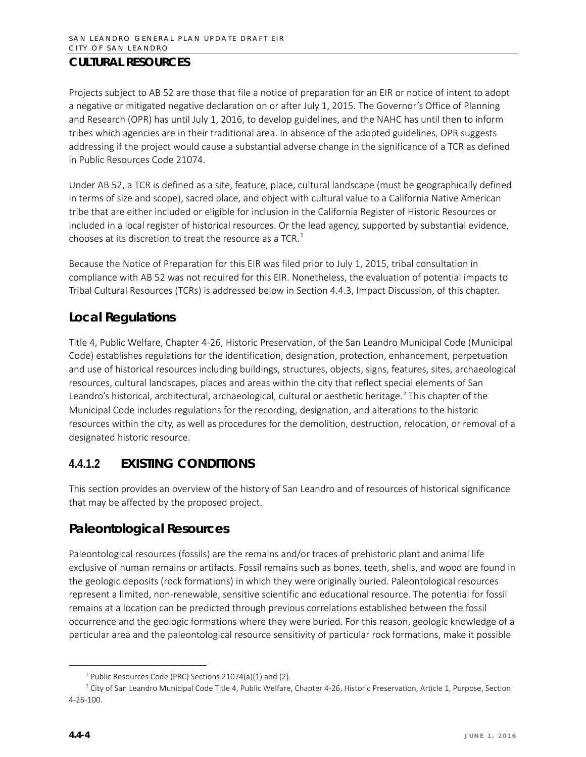Projects subject to AB 52 are those that file a notice of preparation for an EIR or notice of intent to adopt a negative or mitigated negative declaration on or after July 1, 2015. The Governor's Office of Planning and Research (OPR) has until July 1, 2016, to develop guidelines, and the NAHC has until then to inform tribes which agencies are in their traditional area. In absence of the adopted guidelines, OPR suggests addressing if the project would cause a substantial adverse change in the significance of a TCR as defined in Public Resources Code 21074.

Under AB 52, a TCR is defined as a site, feature, place, cultural landscape (must be geographically defined in terms of size and scope), sacred place, and object with cultural value to a California Native American tribe that are either included or eligible for inclusion in the California Register of Historic Resources or included in a local register of historical resources. Or the lead agency, supported by substantial evidence, chooses at its discretion to treat the resource as a TCR. $<sup>1</sup>$  $<sup>1</sup>$  $<sup>1</sup>$ </sup>

Because the Notice of Preparation for this EIR was filed prior to July 1, 2015, tribal consultation in compliance with AB 52 was not required for this EIR. Nonetheless, the evaluation of potential impacts to Tribal Cultural Resources (TCRs) is addressed below in Section 4.4.3, Impact Discussion, of this chapter.

### **Local Regulations**

Title 4, Public Welfare, Chapter 4-26, Historic Preservation, of the San Leandro Municipal Code (Municipal Code) establishes regulations for the identification, designation, protection, enhancement, perpetuation and use of historical resources including buildings, structures, objects, signs, features, sites, archaeological resources, cultural landscapes, places and areas within the city that reflect special elements of San Leandro's historical, architectural, archaeological, cultural or aesthetic heritage.<sup>[2](#page-3-1)</sup> This chapter of the Municipal Code includes regulations for the recording, designation, and alterations to the historic resources within the city, as well as procedures for the demolition, destruction, relocation, or removal of a designated historic resource.

## **4.4.1.2 EXISTING CONDITIONS**

This section provides an overview of the history of San Leandro and of resources of historical significance that may be affected by the proposed project.

## **Paleontological Resources**

Paleontological resources (fossils) are the remains and/or traces of prehistoric plant and animal life exclusive of human remains or artifacts. Fossil remains such as bones, teeth, shells, and wood are found in the geologic deposits (rock formations) in which they were originally buried. Paleontological resources represent a limited, non-renewable, sensitive scientific and educational resource. The potential for fossil remains at a location can be predicted through previous correlations established between the fossil occurrence and the geologic formations where they were buried. For this reason, geologic knowledge of a particular area and the paleontological resource sensitivity of particular rock formations, make it possible

 $1$  Public Resources Code (PRC) Sections 21074(a)(1) and (2).

<span id="page-3-1"></span><span id="page-3-0"></span><sup>&</sup>lt;sup>2</sup> City of San Leandro Municipal Code Title 4, Public Welfare, Chapter 4-26, Historic Preservation, Article 1, Purpose, Section 4-26-100.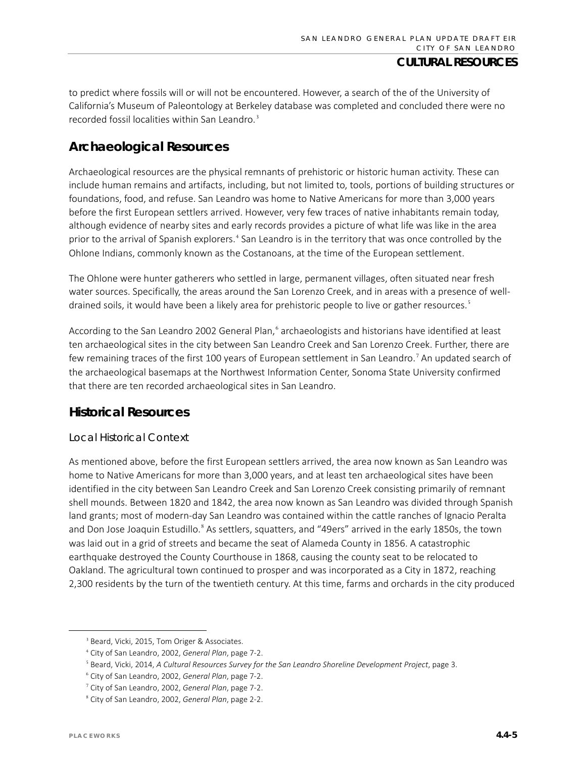to predict where fossils will or will not be encountered. However, a search of the of the University of California's Museum of Paleontology at Berkeley database was completed and concluded there were no recorded fossil localities within San Leandro.<sup>[3](#page-4-0)</sup>

### **Archaeological Resources**

Archaeological resources are the physical remnants of prehistoric or historic human activity. These can include human remains and artifacts, including, but not limited to, tools, portions of building structures or foundations, food, and refuse. San Leandro was home to Native Americans for more than 3,000 years before the first European settlers arrived. However, very few traces of native inhabitants remain today, although evidence of nearby sites and early records provides a picture of what life was like in the area prior to the arrival of Spanish explorers.<sup>[4](#page-4-1)</sup> San Leandro is in the territory that was once controlled by the Ohlone Indians, commonly known as the Costanoans, at the time of the European settlement.

The Ohlone were hunter gatherers who settled in large, permanent villages, often situated near fresh water sources. Specifically, the areas around the San Lorenzo Creek, and in areas with a presence of well-drained soils, it would have been a likely area for prehistoric people to live or gather resources.<sup>[5](#page-4-2)</sup>

According to the San Leandro 2002 General Plan,<sup>[6](#page-4-3)</sup> archaeologists and historians have identified at least ten archaeological sites in the city between San Leandro Creek and San Lorenzo Creek. Further, there are few remaining traces of the first 100 years of European settlement in San Leandro.<sup>[7](#page-4-4)</sup> An updated search of the archaeological basemaps at the Northwest Information Center, Sonoma State University confirmed that there are ten recorded archaeological sites in San Leandro.

### **Historical Resources**

#### *Local Historical Context*

As mentioned above, before the first European settlers arrived, the area now known as San Leandro was home to Native Americans for more than 3,000 years, and at least ten archaeological sites have been identified in the city between San Leandro Creek and San Lorenzo Creek consisting primarily of remnant shell mounds. Between 1820 and 1842, the area now known as San Leandro was divided through Spanish land grants; most of modern-day San Leandro was contained within the cattle ranches of Ignacio Peralta and Don Jose Joaquin Estudillo.<sup>[8](#page-4-5)</sup> As settlers, squatters, and "49ers" arrived in the early 1850s, the town was laid out in a grid of streets and became the seat of Alameda County in 1856. A catastrophic earthquake destroyed the County Courthouse in 1868, causing the county seat to be relocated to Oakland. The agricultural town continued to prosper and was incorporated as a City in 1872, reaching 2,300 residents by the turn of the twentieth century. At this time, farms and orchards in the city produced

<span id="page-4-0"></span><sup>&</sup>lt;sup>3</sup> Beard, Vicki, 2015, Tom Origer & Associates.

<sup>4</sup> City of San Leandro, 2002, *General Plan*, page 7-2.

<span id="page-4-2"></span><span id="page-4-1"></span><sup>5</sup> Beard, Vicki, 2014, *A Cultural Resources Survey for the San Leandro Shoreline Development Project*, page 3.

<span id="page-4-3"></span><sup>6</sup> City of San Leandro, 2002, *General Plan*, page 7-2.

<sup>7</sup> City of San Leandro, 2002, *General Plan*, page 7-2.

<span id="page-4-5"></span><span id="page-4-4"></span><sup>8</sup> City of San Leandro, 2002, *General Plan*, page 2-2.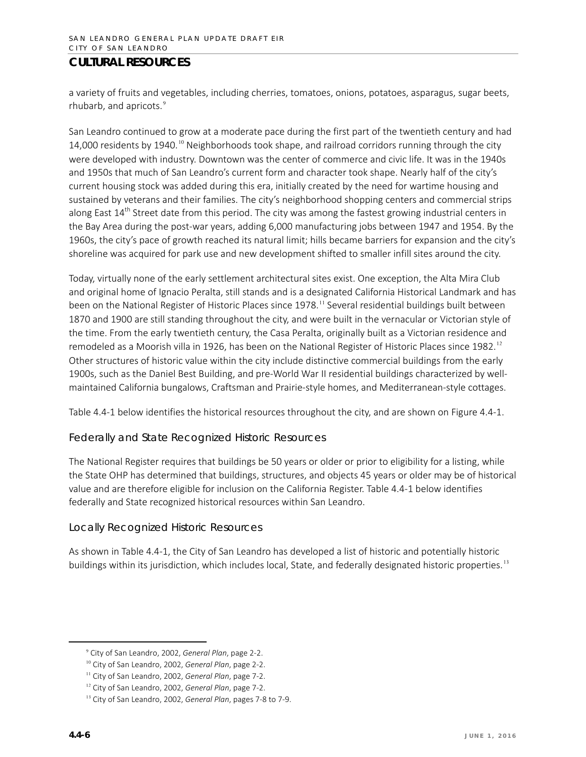a variety of fruits and vegetables, including cherries, tomatoes, onions, potatoes, asparagus, sugar beets, rhubarb, and apricots.[9](#page-5-0)

San Leandro continued to grow at a moderate pace during the first part of the twentieth century and had 14,000 residents by 1940.<sup>[10](#page-5-1)</sup> Neighborhoods took shape, and railroad corridors running through the city were developed with industry. Downtown was the center of commerce and civic life. It was in the 1940s and 1950s that much of San Leandro's current form and character took shape. Nearly half of the city's current housing stock was added during this era, initially created by the need for wartime housing and sustained by veterans and their families. The city's neighborhood shopping centers and commercial strips along East  $14^{th}$  Street date from this period. The city was among the fastest growing industrial centers in the Bay Area during the post-war years, adding 6,000 manufacturing jobs between 1947 and 1954. By the 1960s, the city's pace of growth reached its natural limit; hills became barriers for expansion and the city's shoreline was acquired for park use and new development shifted to smaller infill sites around the city.

Today, virtually none of the early settlement architectural sites exist. One exception, the Alta Mira Club and original home of Ignacio Peralta, still stands and is a designated California Historical Landmark and has been on the National Register of Historic Places since 1978.<sup>[11](#page-5-2)</sup> Several residential buildings built between 1870 and 1900 are still standing throughout the city, and were built in the vernacular or Victorian style of the time. From the early twentieth century, the Casa Peralta, originally built as a Victorian residence and remodeled as a Moorish villa in 1926, has been on the National Register of Historic Places since 1982.<sup>[12](#page-5-3)</sup> Other structures of historic value within the city include distinctive commercial buildings from the early 1900s, such as the Daniel Best Building, and pre-World War II residential buildings characterized by wellmaintained California bungalows, Craftsman and Prairie-style homes, and Mediterranean-style cottages.

Table 4.4-1 below identifies the historical resources throughout the city, and are shown on Figure 4.4-1.

#### *Federally and State Recognized Historic Resources*

The National Register requires that buildings be 50 years or older or prior to eligibility for a listing, while the State OHP has determined that buildings, structures, and objects 45 years or older may be of historical value and are therefore eligible for inclusion on the California Register. Table 4.4-1 below identifies federally and State recognized historical resources within San Leandro.

#### *Locally Recognized Historic Resources*

As shown in Table 4.4-1, the City of San Leandro has developed a list of historic and potentially historic buildings within its jurisdiction, which includes local, State, and federally designated historic properties.<sup>[13](#page-5-4)</sup>

<span id="page-5-0"></span><sup>9</sup> City of San Leandro, 2002, *General Plan*, page 2-2.

<span id="page-5-1"></span><sup>10</sup> City of San Leandro, 2002, *General Plan*, page 2-2.

<span id="page-5-2"></span><sup>11</sup> City of San Leandro, 2002, *General Plan*, page 7-2.

<sup>12</sup> City of San Leandro, 2002, *General Plan*, page 7-2.

<span id="page-5-4"></span><span id="page-5-3"></span><sup>13</sup> City of San Leandro, 2002, *General Plan*, pages 7-8 to 7-9.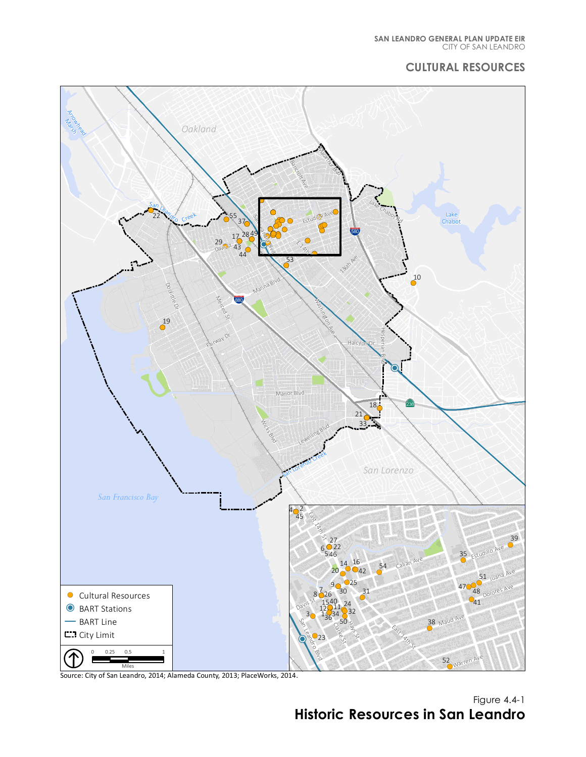#### CITY OF SAN LEANDRO **SAN LEANDRO GENERAL PLAN UPDATE EIR**

### **CULTURAL RESOURCES**



Source: City of San Leandro, 2014; Alameda County, 2013; PlaceWorks, 2014.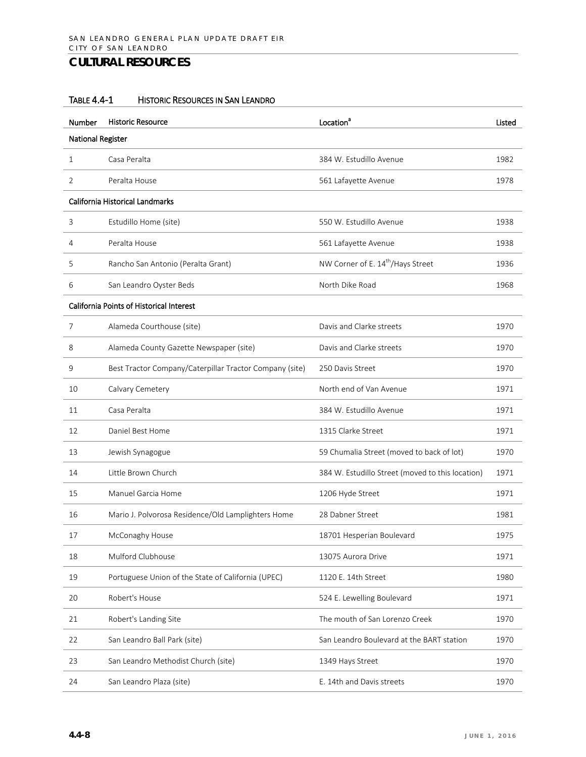#### TABLE 4.4-1 HISTORIC RESOURCES IN SAN LEANDRO

| <b>Number</b>                            | <b>Historic Resource</b>                                | Location <sup>a</sup>                            | Listed |  |  |  |  |
|------------------------------------------|---------------------------------------------------------|--------------------------------------------------|--------|--|--|--|--|
| <b>National Register</b>                 |                                                         |                                                  |        |  |  |  |  |
| $\mathbf{1}$                             | Casa Peralta                                            | 384 W. Estudillo Avenue                          | 1982   |  |  |  |  |
| 2                                        | Peralta House                                           | 561 Lafayette Avenue                             | 1978   |  |  |  |  |
|                                          | California Historical Landmarks                         |                                                  |        |  |  |  |  |
| 3                                        | Estudillo Home (site)                                   | 550 W. Estudillo Avenue                          | 1938   |  |  |  |  |
| 4                                        | Peralta House                                           | 561 Lafayette Avenue                             | 1938   |  |  |  |  |
| 5                                        | Rancho San Antonio (Peralta Grant)                      | NW Corner of E. 14 <sup>th</sup> /Hays Street    | 1936   |  |  |  |  |
| 6                                        | San Leandro Oyster Beds                                 | North Dike Road                                  | 1968   |  |  |  |  |
| California Points of Historical Interest |                                                         |                                                  |        |  |  |  |  |
| 7                                        | Alameda Courthouse (site)                               | Davis and Clarke streets                         | 1970   |  |  |  |  |
| 8                                        | Alameda County Gazette Newspaper (site)                 | Davis and Clarke streets                         | 1970   |  |  |  |  |
| 9                                        | Best Tractor Company/Caterpillar Tractor Company (site) | 250 Davis Street                                 | 1970   |  |  |  |  |
| 10                                       | Calvary Cemetery                                        | North end of Van Avenue                          | 1971   |  |  |  |  |
| 11                                       | Casa Peralta                                            | 384 W. Estudillo Avenue                          | 1971   |  |  |  |  |
| 12                                       | Daniel Best Home                                        | 1315 Clarke Street                               | 1971   |  |  |  |  |
| 13                                       | Jewish Synagogue                                        | 59 Chumalia Street (moved to back of lot)        | 1970   |  |  |  |  |
| 14                                       | Little Brown Church                                     | 384 W. Estudillo Street (moved to this location) | 1971   |  |  |  |  |
| 15                                       | Manuel Garcia Home                                      | 1206 Hyde Street                                 | 1971   |  |  |  |  |
| 16                                       | Mario J. Polvorosa Residence/Old Lamplighters Home      | 28 Dabner Street                                 | 1981   |  |  |  |  |
| 17                                       | McConaghy House                                         | 18701 Hesperian Boulevard                        | 1975   |  |  |  |  |
| 18                                       | Mulford Clubhouse                                       | 13075 Aurora Drive                               | 1971   |  |  |  |  |
| 19                                       | Portuguese Union of the State of California (UPEC)      | 1120 E. 14th Street                              | 1980   |  |  |  |  |
| 20                                       | Robert's House                                          | 524 E. Lewelling Boulevard                       | 1971   |  |  |  |  |
| 21                                       | Robert's Landing Site                                   | The mouth of San Lorenzo Creek                   | 1970   |  |  |  |  |
| 22                                       | San Leandro Ball Park (site)                            | San Leandro Boulevard at the BART station        | 1970   |  |  |  |  |
| 23                                       | San Leandro Methodist Church (site)                     | 1349 Hays Street                                 | 1970   |  |  |  |  |
| 24                                       | San Leandro Plaza (site)                                | E. 14th and Davis streets                        | 1970   |  |  |  |  |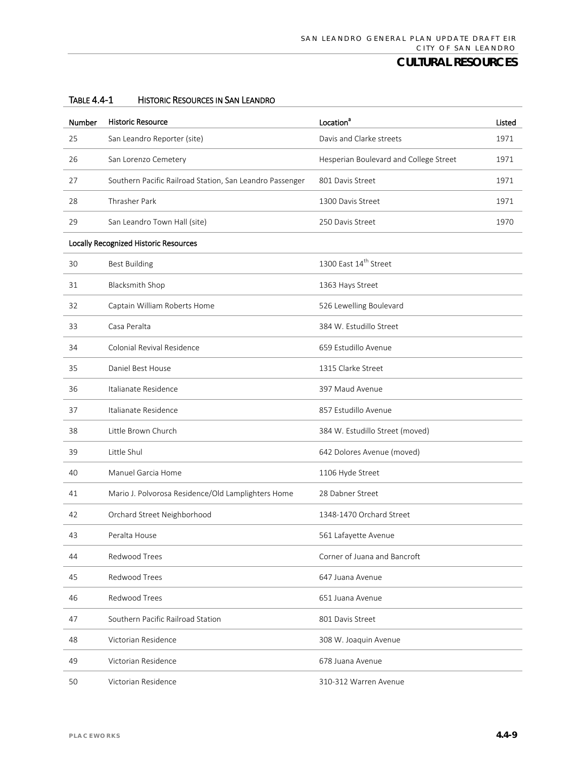| <b>Number</b> | <b>Historic Resource</b>                                 | Location <sup>a</sup>                  | Listed |
|---------------|----------------------------------------------------------|----------------------------------------|--------|
| 25            | San Leandro Reporter (site)                              | Davis and Clarke streets               | 1971   |
| 26            | San Lorenzo Cemetery                                     | Hesperian Boulevard and College Street | 1971   |
| 27            | Southern Pacific Railroad Station, San Leandro Passenger | 801 Davis Street                       | 1971   |
| 28            | Thrasher Park                                            | 1300 Davis Street                      | 1971   |
| 29            | San Leandro Town Hall (site)                             | 250 Davis Street                       | 1970   |
|               | Locally Recognized Historic Resources                    |                                        |        |
| 30            | <b>Best Building</b>                                     | 1300 East 14 <sup>th</sup> Street      |        |
| 31            | Blacksmith Shop                                          | 1363 Hays Street                       |        |
| 32            | Captain William Roberts Home                             | 526 Lewelling Boulevard                |        |
| 33            | Casa Peralta                                             | 384 W. Estudillo Street                |        |
| 34            | Colonial Revival Residence                               | 659 Estudillo Avenue                   |        |
| 35            | Daniel Best House                                        | 1315 Clarke Street                     |        |
| 36            | Italianate Residence                                     | 397 Maud Avenue                        |        |
| 37            | Italianate Residence                                     | 857 Estudillo Avenue                   |        |
| 38            | Little Brown Church                                      | 384 W. Estudillo Street (moved)        |        |
| 39            | Little Shul                                              | 642 Dolores Avenue (moved)             |        |
| 40            | Manuel Garcia Home                                       | 1106 Hyde Street                       |        |
| 41            | Mario J. Polvorosa Residence/Old Lamplighters Home       | 28 Dabner Street                       |        |
| 42            | Orchard Street Neighborhood                              | 1348-1470 Orchard Street               |        |
| 43            | Peralta House                                            | 561 Lafayette Avenue                   |        |
| 44            | Redwood Trees                                            | Corner of Juana and Bancroft           |        |
| 45            | Redwood Trees                                            | 647 Juana Avenue                       |        |
| 46            | <b>Redwood Trees</b>                                     | 651 Juana Avenue                       |        |
| 47            | Southern Pacific Railroad Station                        | 801 Davis Street                       |        |
| 48            | Victorian Residence                                      | 308 W. Joaquin Avenue                  |        |
| 49            | Victorian Residence                                      | 678 Juana Avenue                       |        |
| 50            | Victorian Residence                                      | 310-312 Warren Avenue                  |        |

#### TABLE 4.4-1 HISTORIC RESOURCES IN SAN LEANDRO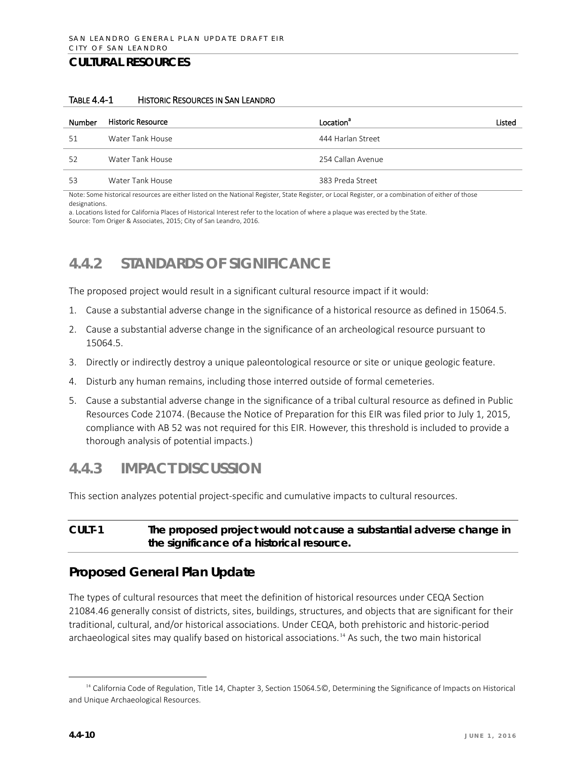#### TABLE 4.4-1 HISTORIC RESOURCES IN SAN LEANDRO

| Number | <b>Historic Resource</b> | Location <sup>ª</sup> | Listed |
|--------|--------------------------|-----------------------|--------|
| 51     | Water Tank House         | 444 Harlan Street     |        |
| 52     | Water Tank House         | 254 Callan Avenue     |        |
| 53     | Water Tank House         | 383 Preda Street      |        |

Note: Some historical resources are either listed on the National Register, State Register, or Local Register, or a combination of either of those designations.

a. Locations listed for California Places of Historical Interest refer to the location of where a plaque was erected by the State. Source: Tom Origer & Associates, 2015; City of San Leandro, 2016.

# **4.4.2 STANDARDS OF SIGNIFICANCE**

The proposed project would result in a significant cultural resource impact if it would:

- 1. Cause a substantial adverse change in the significance of a historical resource as defined in 15064.5.
- 2. Cause a substantial adverse change in the significance of an archeological resource pursuant to 15064.5.
- 3. Directly or indirectly destroy a unique paleontological resource or site or unique geologic feature.
- 4. Disturb any human remains, including those interred outside of formal cemeteries.
- 5. Cause a substantial adverse change in the significance of a tribal cultural resource as defined in Public Resources Code 21074. (Because the Notice of Preparation for this EIR was filed prior to July 1, 2015, compliance with AB 52 was not required for this EIR. However, this threshold is included to provide a thorough analysis of potential impacts.)

## **4.4.3 IMPACT DISCUSSION**

This section analyzes potential project-specific and cumulative impacts to cultural resources.

#### **CULT-1 The proposed project would not cause a substantial adverse change in the significance of a historical resource.**

### **Proposed General Plan Update**

The types of cultural resources that meet the definition of historical resources under CEQA Section 21084.46 generally consist of districts, sites, buildings, structures, and objects that are significant for their traditional, cultural, and/or historical associations. Under CEQA, both prehistoric and historic-period archaeological sites may qualify based on historical associations.<sup>[14](#page-9-0)</sup> As such, the two main historical

<span id="page-9-0"></span><sup>&</sup>lt;sup>14</sup> California Code of Regulation, Title 14, Chapter 3, Section 15064.5©, Determining the Significance of Impacts on Historical and Unique Archaeological Resources.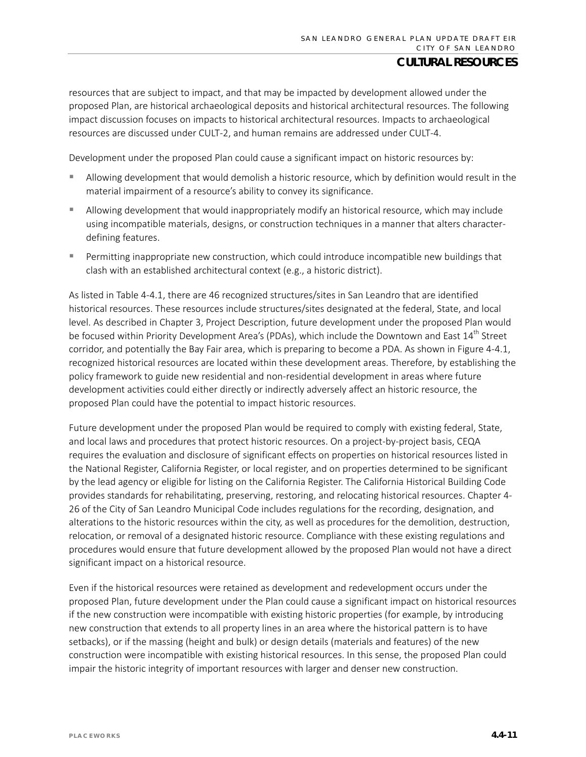resources that are subject to impact, and that may be impacted by development allowed under the proposed Plan, are historical archaeological deposits and historical architectural resources. The following impact discussion focuses on impacts to historical architectural resources. Impacts to archaeological resources are discussed under CULT-2, and human remains are addressed under CULT-4.

Development under the proposed Plan could cause a significant impact on historic resources by:

- Allowing development that would demolish a historic resource, which by definition would result in the material impairment of a resource's ability to convey its significance.
- Allowing development that would inappropriately modify an historical resource, which may include using incompatible materials, designs, or construction techniques in a manner that alters characterdefining features.
- **Permitting inappropriate new construction, which could introduce incompatible new buildings that** clash with an established architectural context (e.g., a historic district).

As listed in Table 4-4.1, there are 46 recognized structures/sites in San Leandro that are identified historical resources. These resources include structures/sites designated at the federal, State, and local level. As described in Chapter 3, Project Description, future development under the proposed Plan would be focused within Priority Development Area's (PDAs), which include the Downtown and East 14<sup>th</sup> Street corridor, and potentially the Bay Fair area, which is preparing to become a PDA. As shown in Figure 4-4.1, recognized historical resources are located within these development areas. Therefore, by establishing the policy framework to guide new residential and non-residential development in areas where future development activities could either directly or indirectly adversely affect an historic resource, the proposed Plan could have the potential to impact historic resources.

Future development under the proposed Plan would be required to comply with existing federal, State, and local laws and procedures that protect historic resources. On a project-by-project basis, CEQA requires the evaluation and disclosure of significant effects on properties on historical resources listed in the National Register, California Register, or local register, and on properties determined to be significant by the lead agency or eligible for listing on the California Register. The California Historical Building Code provides standards for rehabilitating, preserving, restoring, and relocating historical resources. Chapter 4- 26 of the City of San Leandro Municipal Code includes regulations for the recording, designation, and alterations to the historic resources within the city, as well as procedures for the demolition, destruction, relocation, or removal of a designated historic resource. Compliance with these existing regulations and procedures would ensure that future development allowed by the proposed Plan would not have a direct significant impact on a historical resource.

Even if the historical resources were retained as development and redevelopment occurs under the proposed Plan, future development under the Plan could cause a significant impact on historical resources if the new construction were incompatible with existing historic properties (for example, by introducing new construction that extends to all property lines in an area where the historical pattern is to have setbacks), or if the massing (height and bulk) or design details (materials and features) of the new construction were incompatible with existing historical resources. In this sense, the proposed Plan could impair the historic integrity of important resources with larger and denser new construction.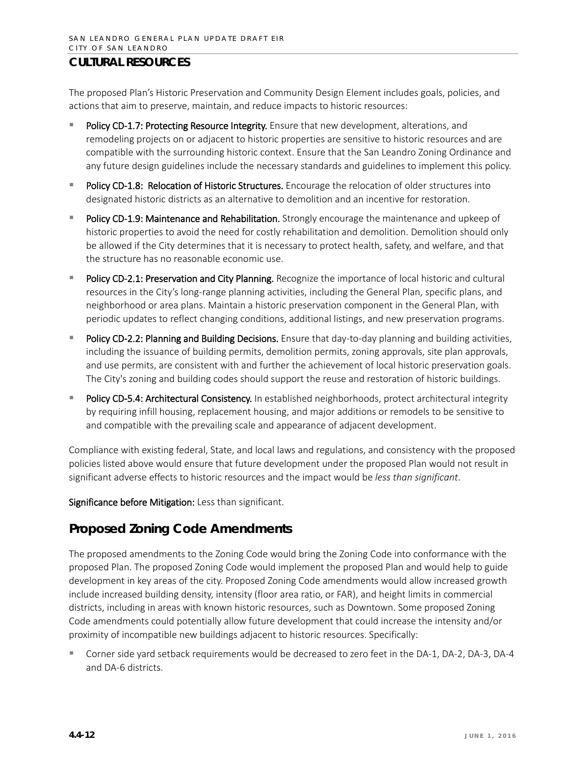The proposed Plan's Historic Preservation and Community Design Element includes goals, policies, and actions that aim to preserve, maintain, and reduce impacts to historic resources:

- Policy CD-1.7: Protecting Resource Integrity. Ensure that new development, alterations, and remodeling projects on or adjacent to historic properties are sensitive to historic resources and are compatible with the surrounding historic context. Ensure that the San Leandro Zoning Ordinance and any future design guidelines include the necessary standards and guidelines to implement this policy.
- Policy CD-1.8: Relocation of Historic Structures. Encourage the relocation of older structures into designated historic districts as an alternative to demolition and an incentive for restoration.
- Policy CD-1.9: Maintenance and Rehabilitation. Strongly encourage the maintenance and upkeep of historic properties to avoid the need for costly rehabilitation and demolition. Demolition should only be allowed if the City determines that it is necessary to protect health, safety, and welfare, and that the structure has no reasonable economic use.
- Policy CD-2.1: Preservation and City Planning. Recognize the importance of local historic and cultural resources in the City's long-range planning activities, including the General Plan, specific plans, and neighborhood or area plans. Maintain a historic preservation component in the General Plan, with periodic updates to reflect changing conditions, additional listings, and new preservation programs.
- Policy CD-2.2: Planning and Building Decisions. Ensure that day-to-day planning and building activities, including the issuance of building permits, demolition permits, zoning approvals, site plan approvals, and use permits, are consistent with and further the achievement of local historic preservation goals. The City's zoning and building codes should support the reuse and restoration of historic buildings.
- Policy CD-5.4: Architectural Consistency. In established neighborhoods, protect architectural integrity by requiring infill housing, replacement housing, and major additions or remodels to be sensitive to and compatible with the prevailing scale and appearance of adjacent development.

Compliance with existing federal, State, and local laws and regulations, and consistency with the proposed policies listed above would ensure that future development under the proposed Plan would not result in significant adverse effects to historic resources and the impact would be *less than significant*.

Significance before Mitigation: Less than significant.

## **Proposed Zoning Code Amendments**

The proposed amendments to the Zoning Code would bring the Zoning Code into conformance with the proposed Plan. The proposed Zoning Code would implement the proposed Plan and would help to guide development in key areas of the city. Proposed Zoning Code amendments would allow increased growth include increased building density, intensity (floor area ratio, or FAR), and height limits in commercial districts, including in areas with known historic resources, such as Downtown. Some proposed Zoning Code amendments could potentially allow future development that could increase the intensity and/or proximity of incompatible new buildings adjacent to historic resources. Specifically:

 Corner side yard setback requirements would be decreased to zero feet in the DA-1, DA-2, DA-3, DA-4 and DA-6 districts.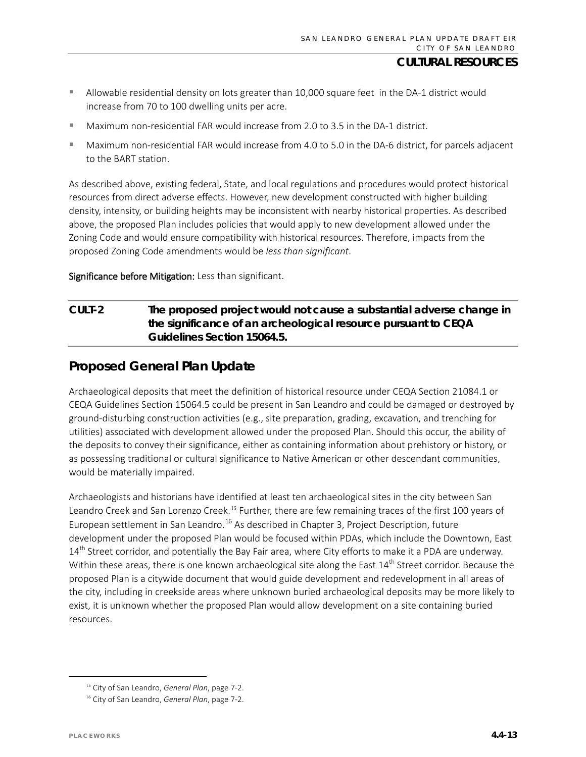- Allowable residential density on lots greater than 10,000 square feet in the DA-1 district would increase from 70 to 100 dwelling units per acre.
- Maximum non-residential FAR would increase from 2.0 to 3.5 in the DA-1 district.
- Maximum non-residential FAR would increase from 4.0 to 5.0 in the DA-6 district, for parcels adjacent to the BART station.

As described above, existing federal, State, and local regulations and procedures would protect historical resources from direct adverse effects. However, new development constructed with higher building density, intensity, or building heights may be inconsistent with nearby historical properties. As described above, the proposed Plan includes policies that would apply to new development allowed under the Zoning Code and would ensure compatibility with historical resources. Therefore, impacts from the proposed Zoning Code amendments would be *less than significant*.

#### Significance before Mitigation: Less than significant.

### **CULT-2 The proposed project would not cause a substantial adverse change in the significance of an archeological resource pursuant to CEQA Guidelines Section 15064.5.**

### **Proposed General Plan Update**

Archaeological deposits that meet the definition of historical resource under CEQA Section 21084.1 or CEQA Guidelines Section 15064.5 could be present in San Leandro and could be damaged or destroyed by ground-disturbing construction activities (e.g., site preparation, grading, excavation, and trenching for utilities) associated with development allowed under the proposed Plan. Should this occur, the ability of the deposits to convey their significance, either as containing information about prehistory or history, or as possessing traditional or cultural significance to Native American or other descendant communities, would be materially impaired.

Archaeologists and historians have identified at least ten archaeological sites in the city between San Leandro Creek and San Lorenzo Creek.<sup>[15](#page-12-0)</sup> Further, there are few remaining traces of the first 100 years of European settlement in San Leandro.<sup>[16](#page-12-1)</sup> As described in Chapter 3, Project Description, future development under the proposed Plan would be focused within PDAs, which include the Downtown, East  $14<sup>th</sup>$  Street corridor, and potentially the Bay Fair area, where City efforts to make it a PDA are underway. Within these areas, there is one known archaeological site along the East 14<sup>th</sup> Street corridor. Because the proposed Plan is a citywide document that would guide development and redevelopment in all areas of the city, including in creekside areas where unknown buried archaeological deposits may be more likely to exist, it is unknown whether the proposed Plan would allow development on a site containing buried resources.

<span id="page-12-0"></span><sup>15</sup> City of San Leandro, *General Plan*, page 7-2.

<span id="page-12-1"></span><sup>16</sup> City of San Leandro, *General Plan*, page 7-2.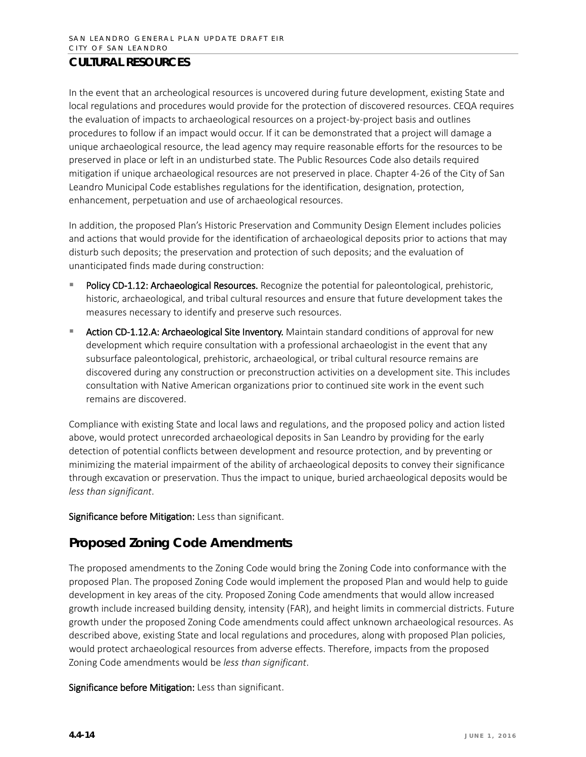In the event that an archeological resources is uncovered during future development, existing State and local regulations and procedures would provide for the protection of discovered resources. CEQA requires the evaluation of impacts to archaeological resources on a project-by-project basis and outlines procedures to follow if an impact would occur. If it can be demonstrated that a project will damage a unique archaeological resource, the lead agency may require reasonable efforts for the resources to be preserved in place or left in an undisturbed state. The Public Resources Code also details required mitigation if unique archaeological resources are not preserved in place. Chapter 4-26 of the City of San Leandro Municipal Code establishes regulations for the identification, designation, protection, enhancement, perpetuation and use of archaeological resources.

In addition, the proposed Plan's Historic Preservation and Community Design Element includes policies and actions that would provide for the identification of archaeological deposits prior to actions that may disturb such deposits; the preservation and protection of such deposits; and the evaluation of unanticipated finds made during construction:

- Policy CD-1.12: Archaeological Resources. Recognize the potential for paleontological, prehistoric, historic, archaeological, and tribal cultural resources and ensure that future development takes the measures necessary to identify and preserve such resources.
- **E** Action CD-1.12.A: Archaeological Site Inventory. Maintain standard conditions of approval for new development which require consultation with a professional archaeologist in the event that any subsurface paleontological, prehistoric, archaeological, or tribal cultural resource remains are discovered during any construction or preconstruction activities on a development site. This includes consultation with Native American organizations prior to continued site work in the event such remains are discovered.

Compliance with existing State and local laws and regulations, and the proposed policy and action listed above, would protect unrecorded archaeological deposits in San Leandro by providing for the early detection of potential conflicts between development and resource protection, and by preventing or minimizing the material impairment of the ability of archaeological deposits to convey their significance through excavation or preservation. Thus the impact to unique, buried archaeological deposits would be *less than significant*.

#### Significance before Mitigation: Less than significant.

## **Proposed Zoning Code Amendments**

The proposed amendments to the Zoning Code would bring the Zoning Code into conformance with the proposed Plan. The proposed Zoning Code would implement the proposed Plan and would help to guide development in key areas of the city. Proposed Zoning Code amendments that would allow increased growth include increased building density, intensity (FAR), and height limits in commercial districts. Future growth under the proposed Zoning Code amendments could affect unknown archaeological resources. As described above, existing State and local regulations and procedures, along with proposed Plan policies, would protect archaeological resources from adverse effects. Therefore, impacts from the proposed Zoning Code amendments would be *less than significant*.

#### Significance before Mitigation: Less than significant.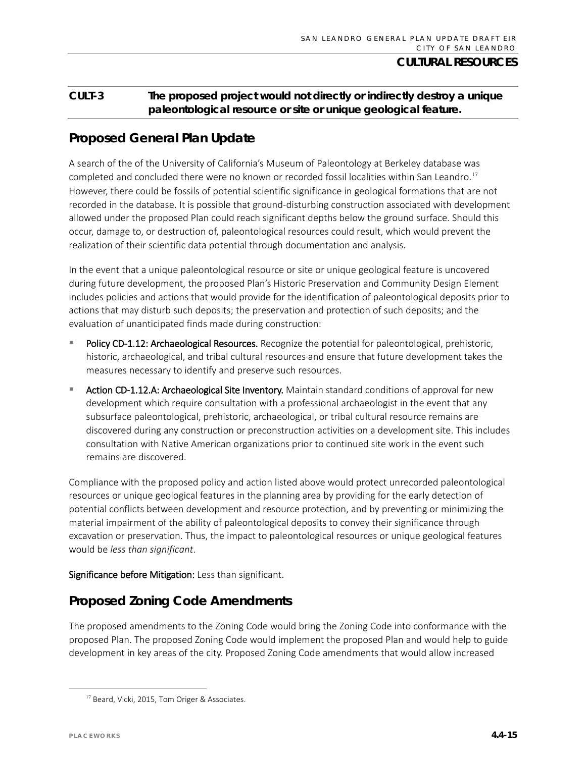#### **CULT-3 The proposed project would not directly or indirectly destroy a unique paleontological resource or site or unique geological feature.**

## **Proposed General Plan Update**

A search of the of the University of California's Museum of Paleontology at Berkeley database was completed and concluded there were no known or recorded fossil localities within San Leandro.<sup>[17](#page-14-0)</sup> However, there could be fossils of potential scientific significance in geological formations that are not recorded in the database. It is possible that ground-disturbing construction associated with development allowed under the proposed Plan could reach significant depths below the ground surface. Should this occur, damage to, or destruction of, paleontological resources could result, which would prevent the realization of their scientific data potential through documentation and analysis.

In the event that a unique paleontological resource or site or unique geological feature is uncovered during future development, the proposed Plan's Historic Preservation and Community Design Element includes policies and actions that would provide for the identification of paleontological deposits prior to actions that may disturb such deposits; the preservation and protection of such deposits; and the evaluation of unanticipated finds made during construction:

- Policy CD-1.12: Archaeological Resources. Recognize the potential for paleontological, prehistoric, historic, archaeological, and tribal cultural resources and ensure that future development takes the measures necessary to identify and preserve such resources.
- **E** Action CD-1.12.A: Archaeological Site Inventory. Maintain standard conditions of approval for new development which require consultation with a professional archaeologist in the event that any subsurface paleontological, prehistoric, archaeological, or tribal cultural resource remains are discovered during any construction or preconstruction activities on a development site. This includes consultation with Native American organizations prior to continued site work in the event such remains are discovered.

Compliance with the proposed policy and action listed above would protect unrecorded paleontological resources or unique geological features in the planning area by providing for the early detection of potential conflicts between development and resource protection, and by preventing or minimizing the material impairment of the ability of paleontological deposits to convey their significance through excavation or preservation. Thus, the impact to paleontological resources or unique geological features would be *less than significant*.

#### Significance before Mitigation: Less than significant.

## **Proposed Zoning Code Amendments**

The proposed amendments to the Zoning Code would bring the Zoning Code into conformance with the proposed Plan. The proposed Zoning Code would implement the proposed Plan and would help to guide development in key areas of the city. Proposed Zoning Code amendments that would allow increased

<span id="page-14-0"></span><sup>&</sup>lt;sup>17</sup> Beard, Vicki, 2015, Tom Origer & Associates.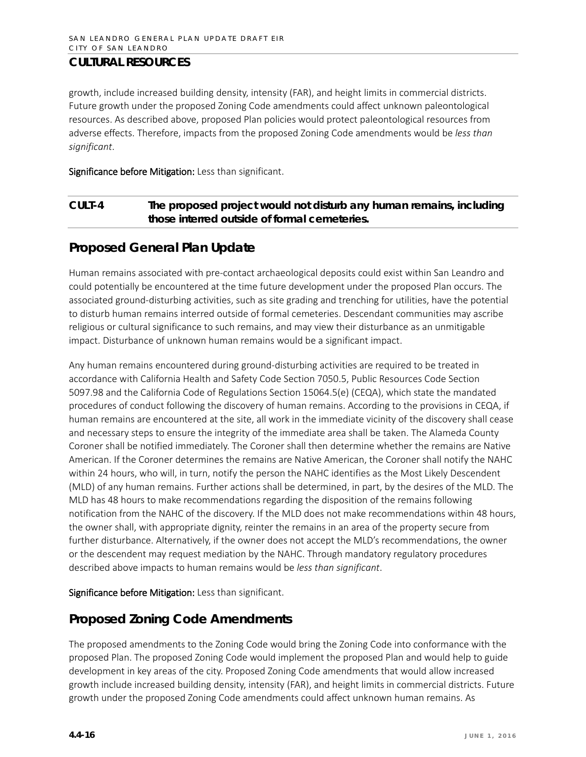growth, include increased building density, intensity (FAR), and height limits in commercial districts. Future growth under the proposed Zoning Code amendments could affect unknown paleontological resources. As described above, proposed Plan policies would protect paleontological resources from adverse effects. Therefore, impacts from the proposed Zoning Code amendments would be *less than significant*.

Significance before Mitigation: Less than significant.

#### **CULT-4 The proposed project would not disturb any human remains, including those interred outside of formal cemeteries.**

## **Proposed General Plan Update**

Human remains associated with pre-contact archaeological deposits could exist within San Leandro and could potentially be encountered at the time future development under the proposed Plan occurs. The associated ground-disturbing activities, such as site grading and trenching for utilities, have the potential to disturb human remains interred outside of formal cemeteries. Descendant communities may ascribe religious or cultural significance to such remains, and may view their disturbance as an unmitigable impact. Disturbance of unknown human remains would be a significant impact.

Any human remains encountered during ground-disturbing activities are required to be treated in accordance with California Health and Safety Code Section 7050.5, Public Resources Code Section 5097.98 and the California Code of Regulations Section 15064.5(e) (CEQA), which state the mandated procedures of conduct following the discovery of human remains. According to the provisions in CEQA, if human remains are encountered at the site, all work in the immediate vicinity of the discovery shall cease and necessary steps to ensure the integrity of the immediate area shall be taken. The Alameda County Coroner shall be notified immediately. The Coroner shall then determine whether the remains are Native American. If the Coroner determines the remains are Native American, the Coroner shall notify the NAHC within 24 hours, who will, in turn, notify the person the NAHC identifies as the Most Likely Descendent (MLD) of any human remains. Further actions shall be determined, in part, by the desires of the MLD. The MLD has 48 hours to make recommendations regarding the disposition of the remains following notification from the NAHC of the discovery. If the MLD does not make recommendations within 48 hours, the owner shall, with appropriate dignity, reinter the remains in an area of the property secure from further disturbance. Alternatively, if the owner does not accept the MLD's recommendations, the owner or the descendent may request mediation by the NAHC. Through mandatory regulatory procedures described above impacts to human remains would be *less than significant*.

Significance before Mitigation: Less than significant.

## **Proposed Zoning Code Amendments**

The proposed amendments to the Zoning Code would bring the Zoning Code into conformance with the proposed Plan. The proposed Zoning Code would implement the proposed Plan and would help to guide development in key areas of the city. Proposed Zoning Code amendments that would allow increased growth include increased building density, intensity (FAR), and height limits in commercial districts. Future growth under the proposed Zoning Code amendments could affect unknown human remains. As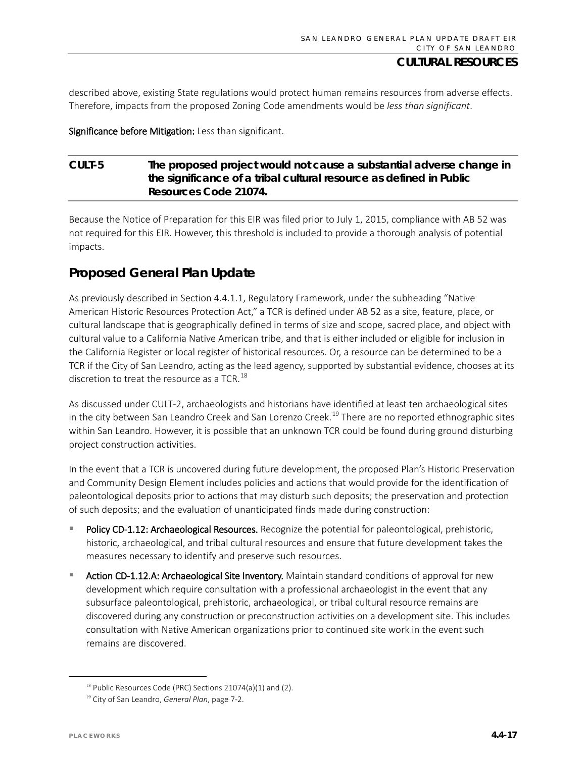described above, existing State regulations would protect human remains resources from adverse effects. Therefore, impacts from the proposed Zoning Code amendments would be *less than significant*.

Significance before Mitigation: Less than significant.

### **CULT-5 The proposed project would not cause a substantial adverse change in the significance of a tribal cultural resource as defined in Public Resources Code 21074.**

Because the Notice of Preparation for this EIR was filed prior to July 1, 2015, compliance with AB 52 was not required for this EIR. However, this threshold is included to provide a thorough analysis of potential impacts.

### **Proposed General Plan Update**

As previously described in Section 4.4.1.1, Regulatory Framework, under the subheading "Native American Historic Resources Protection Act," a TCR is defined under AB 52 as a site, feature, place, or cultural landscape that is geographically defined in terms of size and scope, sacred place, and object with cultural value to a California Native American tribe, and that is either included or eligible for inclusion in the California Register or local register of historical resources. Or, a resource can be determined to be a TCR if the City of San Leandro, acting as the lead agency, supported by substantial evidence, chooses at its discretion to treat the resource as a TCR.<sup>[18](#page-16-0)</sup>

As discussed under CULT-2, archaeologists and historians have identified at least ten archaeological sites in the city between San Leandro Creek and San Lorenzo Creek. [19](#page-16-1) There are no reported ethnographic sites within San Leandro. However, it is possible that an unknown TCR could be found during ground disturbing project construction activities.

In the event that a TCR is uncovered during future development, the proposed Plan's Historic Preservation and Community Design Element includes policies and actions that would provide for the identification of paleontological deposits prior to actions that may disturb such deposits; the preservation and protection of such deposits; and the evaluation of unanticipated finds made during construction:

- Policy CD-1.12: Archaeological Resources. Recognize the potential for paleontological, prehistoric, historic, archaeological, and tribal cultural resources and ensure that future development takes the measures necessary to identify and preserve such resources.
- Action CD-1.12.A: Archaeological Site Inventory. Maintain standard conditions of approval for new development which require consultation with a professional archaeologist in the event that any subsurface paleontological, prehistoric, archaeological, or tribal cultural resource remains are discovered during any construction or preconstruction activities on a development site. This includes consultation with Native American organizations prior to continued site work in the event such remains are discovered.

<sup>&</sup>lt;sup>18</sup> Public Resources Code (PRC) Sections 21074(a)(1) and (2).

<span id="page-16-1"></span><span id="page-16-0"></span><sup>19</sup> City of San Leandro, *General Plan*, page 7-2.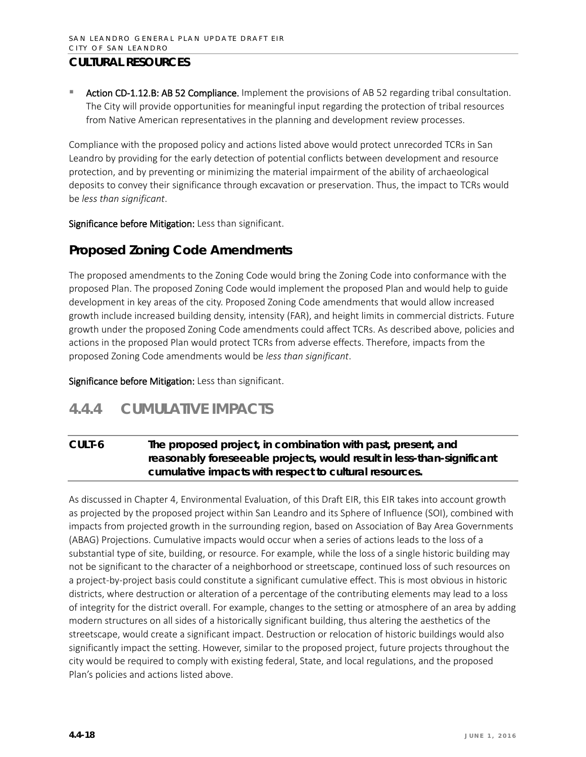Action CD-1.12.B: AB 52 Compliance. Implement the provisions of AB 52 regarding tribal consultation. The City will provide opportunities for meaningful input regarding the protection of tribal resources from Native American representatives in the planning and development review processes.

Compliance with the proposed policy and actions listed above would protect unrecorded TCRs in San Leandro by providing for the early detection of potential conflicts between development and resource protection, and by preventing or minimizing the material impairment of the ability of archaeological deposits to convey their significance through excavation or preservation. Thus, the impact to TCRs would be *less than significant*.

Significance before Mitigation: Less than significant.

### **Proposed Zoning Code Amendments**

The proposed amendments to the Zoning Code would bring the Zoning Code into conformance with the proposed Plan. The proposed Zoning Code would implement the proposed Plan and would help to guide development in key areas of the city. Proposed Zoning Code amendments that would allow increased growth include increased building density, intensity (FAR), and height limits in commercial districts. Future growth under the proposed Zoning Code amendments could affect TCRs. As described above, policies and actions in the proposed Plan would protect TCRs from adverse effects. Therefore, impacts from the proposed Zoning Code amendments would be *less than significant*.

Significance before Mitigation: Less than significant.

# **4.4.4 CUMULATIVE IMPACTS**

### **CULT-6 The proposed project, in combination with past, present, and reasonably foreseeable projects, would result in less-than-significant cumulative impacts with respect to cultural resources.**

As discussed in Chapter 4, Environmental Evaluation, of this Draft EIR, this EIR takes into account growth as projected by the proposed project within San Leandro and its Sphere of Influence (SOI), combined with impacts from projected growth in the surrounding region, based on Association of Bay Area Governments (ABAG) Projections. Cumulative impacts would occur when a series of actions leads to the loss of a substantial type of site, building, or resource. For example, while the loss of a single historic building may not be significant to the character of a neighborhood or streetscape, continued loss of such resources on a project-by-project basis could constitute a significant cumulative effect. This is most obvious in historic districts, where destruction or alteration of a percentage of the contributing elements may lead to a loss of integrity for the district overall. For example, changes to the setting or atmosphere of an area by adding modern structures on all sides of a historically significant building, thus altering the aesthetics of the streetscape, would create a significant impact. Destruction or relocation of historic buildings would also significantly impact the setting. However, similar to the proposed project, future projects throughout the city would be required to comply with existing federal, State, and local regulations, and the proposed Plan's policies and actions listed above.